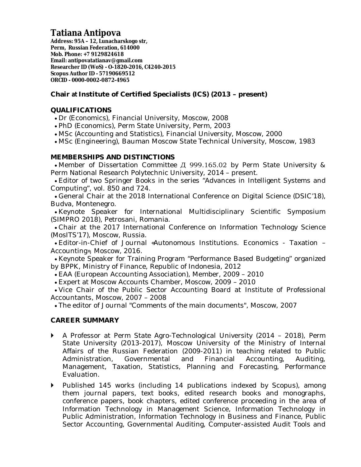# **Tatiana Antipova**

**Address: 95A – 12, Lunacharskogo str, Perm, Russian Federation, 614000 Mob. Phone: +7 9129824618 Email: [antipovatatianav@gmail.com](mailto:antipovatatianav@gmail.com) Researcher ID (WoS) - O-1820-2016, C4240-2015 Scopus Author ID - 57190669512 ORCID - 0000-0002-0872-4965**

## **Chair at Institute of Certified Specialists (ICS) (2013 – present)**

## **QUALIFICATIONS**

- Dr (Economics), Financial University, Moscow, 2008
- PhD (Economics), Perm State University, Perm, 2003
- MSc (Accounting and Statistics), Financial University, Moscow, 2000
- MSc (Engineering), Bauman Moscow State Technical University, Moscow, 1983

## **MEMBERSHIPS AND DISTINCTIONS**

 Member of Dissertation Committee Д 999.165.02 by Perm State University & Perm National Research Polytechnic University, 2014 – present.

 Editor of two Springer Books in the series "Advances in Intelligent Systems and Computing", vol. 850 and 724.

 General Chair at the 2018 International Conference on Digital Science (DSIC'18), Budva, Montenegro.

 Keynote Speaker for International Multidisciplinary Scientific Symposium (SIMPRO 2018), Petrosani, Romania.

 Chair at the 2017 International Conference on Information Technology Science (MosITS'17), Moscow, Russia.

 Editor-in-Chief of Journal «Autonomous Institutions. Economics - Taxation – Accounting», Moscow, 2016.

 Keynote Speaker for Training Program "Performance Based Budgeting" organized by BPPK, Ministry of Finance, Republic of Indonesia, 2012

EAA (European Accounting Association), Member, 2009 – 2010

Expert at Moscow Accounts Chamber, Moscow, 2009 – 2010

 Vice Chair of the Public Sector Accounting Board at Institute of Professional Accountants, Moscow, 2007 – 2008

The editor of Journal "Comments of the main documents", Moscow, 2007

## **CAREER SUMMARY**

- A Professor at Perm State Agro-Technological University (2014 2018), Perm State University (2013-2017), Moscow University of the Ministry of Internal Affairs of the Russian Federation (2009-2011) in teaching related to Public Administration, Governmental and Financial Accounting, Auditing, Management, Taxation, Statistics, Planning and Forecasting, Performance Evaluation.
- Published 145 works (including 14 publications indexed by Scopus), among them journal papers, text books, edited research books and monographs, conference papers, book chapters, edited conference proceeding in the area of Information Technology in Management Science, Information Technology in Public Administration, Information Technology in Business and Finance, Public Sector Accounting, Governmental Auditing, Computer-assisted Audit Tools and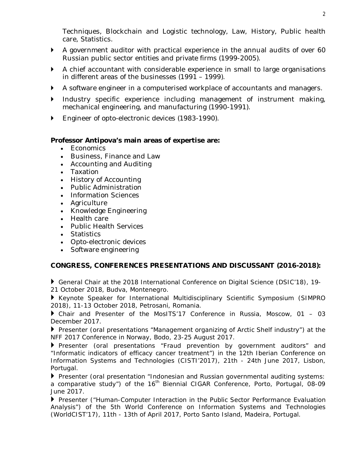Techniques, Blockchain and Logistic technology, Law, History, Public health care, Statistics.

- A government auditor with practical experience in the annual audits of over 60 Russian public sector entities and private firms (1999-2005).
- A chief accountant with considerable experience in small to large organisations in different areas of the businesses (1991 – 1999).
- A software engineer in a computerised workplace of accountants and managers.
- Industry specific experience including management of instrument making, mechanical engineering, and manufacturing (1990-1991).
- ▶ Engineer of opto-electronic devices (1983-1990).

### **Professor Antipova's main areas of expertise are:**

- Economics
- Business, Finance and Law
- Accounting and Auditing
- Taxation
- History of Accounting
- Public Administration
- Information Sciences
- Agriculture
- Knowledge Engineering
- Health care
- Public Health Services
- Statistics
- Opto-electronic devices
- Software engineering

### **CONGRESS, CONFERENCES PRESENTATIONS AND DISCUSSANT (2016-2018):**

 General Chair at the 2018 International Conference on Digital Science (DSIC'18), 19- 21 October 2018, Budva, Montenegro.

 Keynote Speaker for International Multidisciplinary Scientific Symposium (SIMPRO 2018), 11-13 October 2018, Petrosani, Romania.

 Chair and Presenter of the MosITS'17 Conference in Russia, Moscow, 01 – 03 December 2017.

 Presenter (oral presentations "Management organizing of Arctic Shelf industry") at the NFF 2017 Conference in Norway, Bodo, 23-25 August 2017.

Presenter (oral presentations "Fraud prevention by government auditors" and "Informatic indicators of efficacy cancer treatment") in the 12th Iberian Conference on Information Systems and Technologies (CISTI'2017), 21th - 24th June 2017, Lisbon, Portugal.

Presenter (oral presentation "Indonesian and Russian governmental auditing systems: a comparative study") of the 16<sup>th</sup> Biennial CIGAR Conference, Porto, Portugal, 08-09 June 2017.

 Presenter ("Human-Computer Interaction in the Public Sector Performance Evaluation Analysis") of the 5th World Conference on Information Systems and Technologies (WorldCIST'17), 11th - 13th of April 2017, Porto Santo Island, Madeira, Portugal.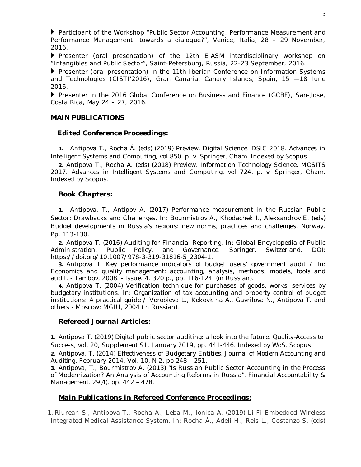Participant of the Workshop "Public Sector Accounting, Performance Measurement and Performance Management: towards a dialogue?", Venice, Italia, 28 – 29 November, 2016.

 Presenter (oral presentation) of the 12th EIASM interdisciplinary workshop on "Intangibles and Public Sector", Saint-Petersburg, Russia, 22-23 September, 2016.

 Presenter (oral presentation) in the 11th Iberian Conference on Information Systems and Technologies (CISTI'2016), Gran Canaria, Canary Islands, Spain, 15 —18 June 2016.

Presenter in the 2016 Global Conference on Business and Finance (GCBF), San-Jose, Costa Rica, May 24 – 27, 2016.

#### **MAIN PUBLICATIONS**

#### *Edited Conference Proceedings:*

**1.** Antipova T., Rocha Á. (eds) (2019) Preview. Digital Science. DSIC 2018. Advances in Intelligent Systems and Computing, vol 850. p. v. Springer, Cham. Indexed by Scopus.

**2.** Antipova T., Rocha Á. (eds) (2018) Preview. Information Technology Science. MOSITS 2017. Advances in Intelligent Systems and Computing, vol 724. p. v. Springer, Cham. Indexed by Scopus.

#### *Book Chapters:*

**1.** Antipova, T., Antipov A. (2017) Performance measurement in the Russian Public Sector: Drawbacks and Challenges. In: Bourmistrov A., Khodachek I., Aleksandrov E. (eds) Budget developments in Russia's regions: new norms, practices and challenges. Norway. Pp. 113-130.

**2.** Antipova T. (2016) Auditing for Financial Reporting. In: Global Encyclopedia of Public Administration, Public Policy, and Governance. Springer. Switzerland. DOI: [https://doi.org/10.1007/978-3-319-31816-5\\_2304-1.](https://doi.org/10.1007/978-3-319-31816-5_2304-1.)

**3.** Antipova T. Key performance indicators of budget users' government audit / In: Economics and quality management: accounting, analysis, methods, models, tools and audit. - Tambov, 2008. - Issue. 4. 320 p., pp. 116-124. (in Russian).

**4.** Antipova T. (2004) Verification technique for purchases of goods, works, services by budgetary institutions. In: Organization of tax accounting and property control of budget institutions: A practical guide / Vorobieva L., Kokovkina A., Gavrilova N., Antipova T. and others - Moscow: MGIU, 2004 (in Russian).

#### *Refereed Journal Articles:*

**1.** Antipova T. (2019) Digital public sector auditing: a look into the future. *Quality-Access to Success*, vol. 20, Supplement S1, January 2019, pp. 441-446. Indexed by WoS, Scopus.

**2.** Antipova, T. (2014) Effectiveness of Budgetary Entities. *Journal of Modern Accounting and Auditing.* February 2014, Vol. 10, N 2. pp 248 – 251.

**3.** Antipova, T., Bourmistrov A. (2013) "Is Russian Public Sector Accounting in the Process of Modernization? An Analysis of Accounting Reforms in Russia". *Financial Accountability & Management*, 29(4), pp. 442 – 478.

### *Main Publications in Refereed Conference Proceedings:*

1. Riurean S., Antipova T., Rocha A., Leba M., Ionica A. (2019) Li-Fi Embedded Wireless Integrated Medical Assistance System. In: Rocha Á., Adeli H., Reis L., Costanzo S. (eds)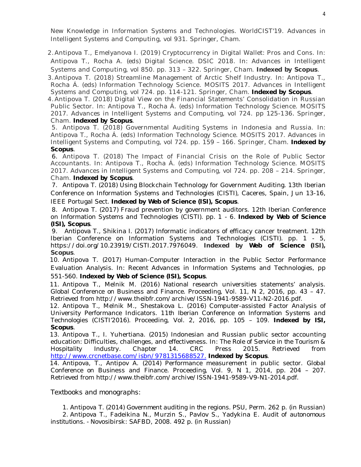New Knowledge in Information Systems and Technologies. WorldCIST'19. Advances in Intelligent Systems and Computing, vol 931. Springer, Cham.

2.Antipova T., Emelyanova I. (2019) Cryptocurrency in Digital Wallet: Pros and Cons. In: Antipova T., Rocha A. (eds) Digital Science. DSIC 2018. In: Advances in Intelligent Systems and Computing, vol 850. pp. 313 – 322. Springer, Cham. **Indexed by Scopus**.

3.Antipova T. (2018) Streamline Management of Arctic Shelf Industry. In: Antipova T., Rocha Á. (eds) Information Technology Science. MOSITS 2017. Advances in Intelligent Systems and Computing, vol 724. pp. 114-121. Springer, Cham. **Indexed by Scopus**.

4.Antipova T. (2018) Digital View on the Financial Statements' Consolidation in Russian Public Sector. In: Antipova T., Rocha Á. (eds) Information Technology Science. MOSITS 2017. Advances in Intelligent Systems and Computing, vol 724. pp 125-136. Springer, Cham. **Indexed by Scopus**.

5. Antipova T. (2018) Governmental Auditing Systems in Indonesia and Russia. In: Antipova T., Rocha Á. (eds) Information Technology Science. MOSITS 2017. Advances in Intelligent Systems and Computing, vol 724. pp. 159 – 166. Springer, Cham. **Indexed by Scopus**.

6. Antipova T. (2018) The Impact of Financial Crisis on the Role of Public Sector Accountants. In: Antipova T., Rocha Á. (eds) Information Technology Science. MOSITS 2017. Advances in Intelligent Systems and Computing, vol 724. pp. 208 – 214. Springer, Cham. **Indexed by Scopus**.

7. Antipova T. (2018) Using Blockchain Technology for Government Auditing. 13th Iberian Conference on Information Systems and Technologies (CISTI), Caceres, Spain, Jun 13-16, IEEE Portugal Sect. **Indexed by Web of Science (ISI), Scopus**.

8. Antipova T. (2017) Fraud prevention by government auditors. 12th Iberian Conference on Information Systems and Technologies (CISTI). pp. 1 - 6. **Indexed by Web of Science (ISI), Scopus**.

9. Antipova T., Shikina I. (2017) Informatic indicators of efficacy cancer treatment. 12th Iberian Conference on Information Systems and Technologies (CISTI). pp. 1 - 5, <https://doi.org/10.23919/CISTI.2017.7976049.>**Indexed by Web of Science (ISI), Scopus**.

10. Antipova T. (2017) Human-Computer Interaction in the Public Sector Performance Evaluation Analysis. In: Recent Advances in Information Systems and Technologies, pp 551-560. **Indexed by Web of Science (ISI), Scopus**.

11. Antipova T., Melnik M. (2016) National research universities statements' analysis. *Global Conference on Business and Finance.* Proceeding, Vol. 11, N 2, 2016, pp. 43 – 47. Retrieved from <http://www.theibfr.com/archive/ISSN-1941-9589-V11-N2-2016.pdf.>

12. Antipova T., Melnik M., Shestakova L. (2016) Computer-assisted Factor Analysis of University Performance Indicators. *11th Iberian Conference on Information Systems and Technologies* (CISTI'2016). Proceeding, Vol. 2, 2016, pp. 105 – 109. **Indexed by ISI, Scopus**.

13. Antipova T., I. Yuhertiana. (2015) Indonesian and Russian public sector accounting education: Difficulties, challenges, and effectiveness. In: *The Role of Service in the Tourism & Hospitality Industry.* Chapter 14. CRC Press 2015. Retrieved from <http://www.crcnetbase.com/isbn/9781315688527.> **Indexed by Scopus**.

14. Antipova, T., Antipov A. (2014) Performance measurement in public sector. *Global Conference on Business and Finance.* Proceeding, Vol. 9, N 1, 2014, pp. 204 – 207. Retrieved from <http://www.theibfr.com/archive/ISSN-1941-9589-V9-N1-2014.pdf.>

### *Textbooks and monographs:*

1. Antipova T. (2014) *Government auditing in the regions.* PSU*,* Perm. 262 p. (in Russian) 2. Antipova T., Fadeikina N., Murzin S., Pavlov S., Yadykina E. *Audit of autonomous institutions. -* Novosibirsk: SAFBD, 2008. 492 p. (in Russian)